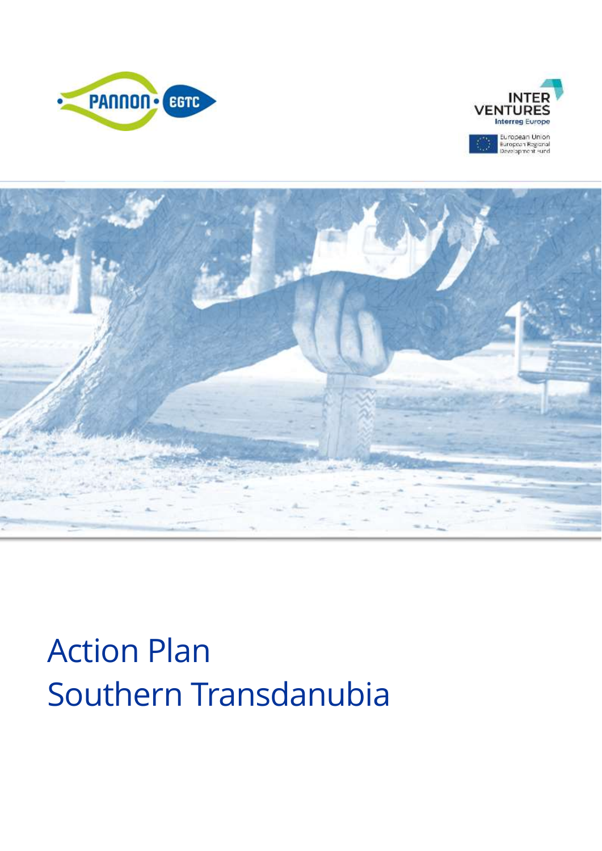





# Action Plan Southern Transdanubia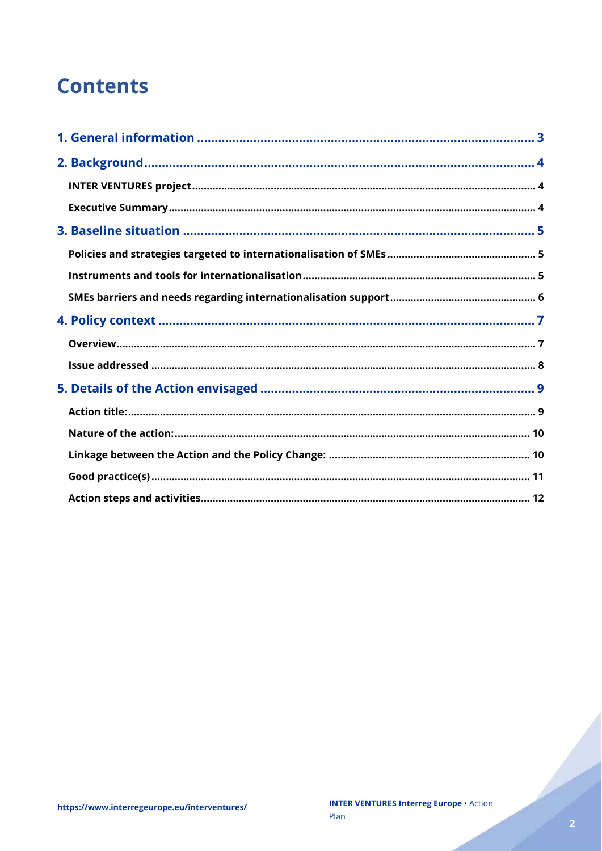## **Contents**

Charles Corporation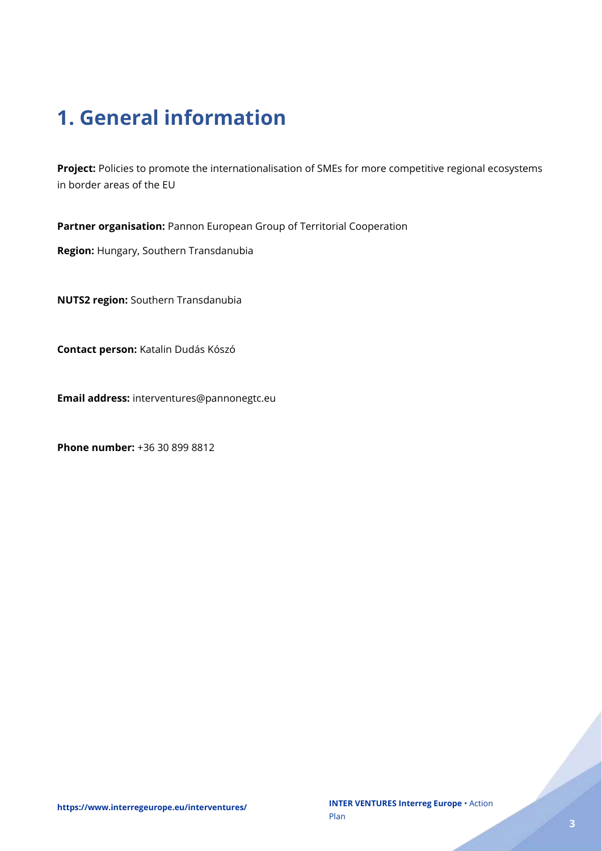## <span id="page-2-0"></span>**1. General information**

**Project:** Policies to promote the internationalisation of SMEs for more competitive regional ecosystems in border areas of the EU

**Partner organisation:** Pannon European Group of Territorial Cooperation

**Region:** Hungary, Southern Transdanubia

**NUTS2 region:** Southern Transdanubia

**Contact person:** Katalin Dudás Kószó

**Email address:** interventures@pannonegtc.eu

**Phone number:** +36 30 899 8812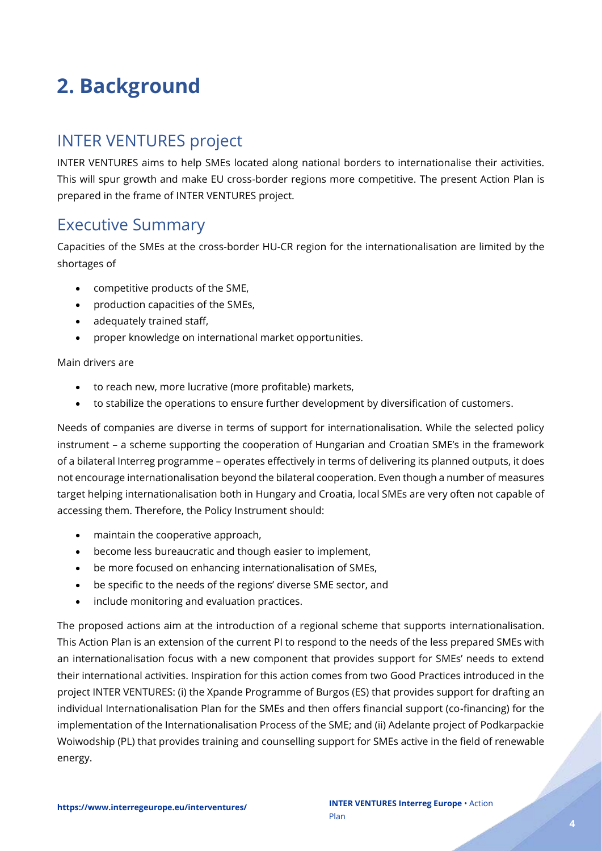## <span id="page-3-0"></span>**2. Background**

## <span id="page-3-1"></span>INTER VENTURES project

INTER VENTURES aims to help SMEs located along national borders to internationalise their activities. This will spur growth and make EU cross-border regions more competitive. The present Action Plan is prepared in the frame of INTER VENTURES project.

## <span id="page-3-2"></span>Executive Summary

Capacities of the SMEs at the cross-border HU-CR region for the internationalisation are limited by the shortages of

- competitive products of the SME,
- production capacities of the SMEs,
- adequately trained staff,
- proper knowledge on international market opportunities.

#### Main drivers are

- to reach new, more lucrative (more profitable) markets,
- to stabilize the operations to ensure further development by diversification of customers.

Needs of companies are diverse in terms of support for internationalisation. While the selected policy instrument – a scheme supporting the cooperation of Hungarian and Croatian SME's in the framework of a bilateral Interreg programme – operates effectively in terms of delivering its planned outputs, it does not encourage internationalisation beyond the bilateral cooperation. Even though a number of measures target helping internationalisation both in Hungary and Croatia, local SMEs are very often not capable of accessing them. Therefore, the Policy Instrument should:

- maintain the cooperative approach,
- become less bureaucratic and though easier to implement,
- be more focused on enhancing internationalisation of SMEs,
- be specific to the needs of the regions' diverse SME sector, and
- include monitoring and evaluation practices.

The proposed actions aim at the introduction of a regional scheme that supports internationalisation. This Action Plan is an extension of the current PI to respond to the needs of the less prepared SMEs with an internationalisation focus with a new component that provides support for SMEs' needs to extend their international activities. Inspiration for this action comes from two Good Practices introduced in the project INTER VENTURES: (i) the Xpande Programme of Burgos (ES) that provides support for drafting an individual Internationalisation Plan for the SMEs and then offers financial support (co-financing) for the implementation of the Internationalisation Process of the SME; and (ii) Adelante project of Podkarpackie Woiwodship (PL) that provides training and counselling support for SMEs active in the field of renewable energy.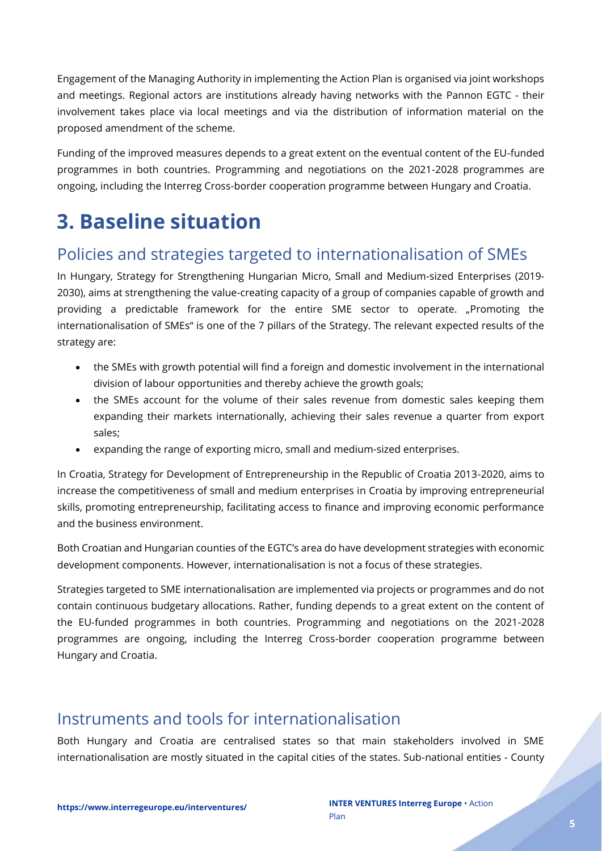Engagement of the Managing Authority in implementing the Action Plan is organised via joint workshops and meetings. Regional actors are institutions already having networks with the Pannon EGTC - their involvement takes place via local meetings and via the distribution of information material on the proposed amendment of the scheme.

Funding of the improved measures depends to a great extent on the eventual content of the EU-funded programmes in both countries. Programming and negotiations on the 2021-2028 programmes are ongoing, including the Interreg Cross-border cooperation programme between Hungary and Croatia.

## <span id="page-4-0"></span>**3. Baseline situation**

## <span id="page-4-1"></span>Policies and strategies targeted to internationalisation of SMEs

In Hungary, Strategy for Strengthening Hungarian Micro, Small and Medium-sized Enterprises (2019- 2030), aims at strengthening the value-creating capacity of a group of companies capable of growth and providing a predictable framework for the entire SME sector to operate. "Promoting the internationalisation of SMEs" is one of the 7 pillars of the Strategy. The relevant expected results of the strategy are:

- the SMEs with growth potential will find a foreign and domestic involvement in the international division of labour opportunities and thereby achieve the growth goals;
- the SMEs account for the volume of their sales revenue from domestic sales keeping them expanding their markets internationally, achieving their sales revenue a quarter from export sales;
- expanding the range of exporting micro, small and medium-sized enterprises.

In Croatia, Strategy for Development of Entrepreneurship in the Republic of Croatia 2013-2020, aims to increase the competitiveness of small and medium enterprises in Croatia by improving entrepreneurial skills, promoting entrepreneurship, facilitating access to finance and improving economic performance and the business environment.

Both Croatian and Hungarian counties of the EGTC's area do have development strategies with economic development components. However, internationalisation is not a focus of these strategies.

Strategies targeted to SME internationalisation are implemented via projects or programmes and do not contain continuous budgetary allocations. Rather, funding depends to a great extent on the content of the EU-funded programmes in both countries. Programming and negotiations on the 2021-2028 programmes are ongoing, including the Interreg Cross-border cooperation programme between Hungary and Croatia.

## <span id="page-4-2"></span>Instruments and tools for internationalisation

Both Hungary and Croatia are centralised states so that main stakeholders involved in SME internationalisation are mostly situated in the capital cities of the states. Sub-national entities - County

.<br>L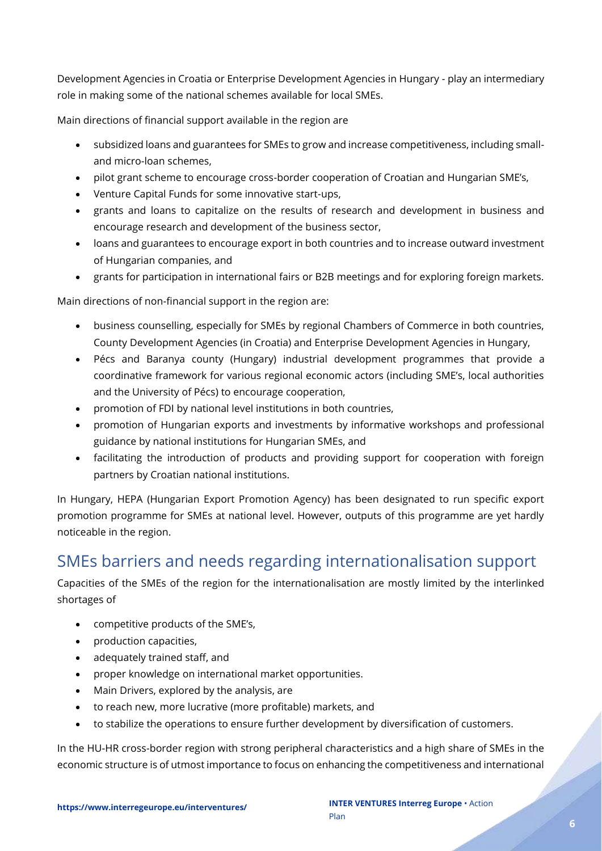Development Agencies in Croatia or Enterprise Development Agencies in Hungary - play an intermediary role in making some of the national schemes available for local SMEs.

Main directions of financial support available in the region are

- subsidized loans and guarantees for SMEs to grow and increase competitiveness, including smalland micro-loan schemes,
- pilot grant scheme to encourage cross-border cooperation of Croatian and Hungarian SME's,
- Venture Capital Funds for some innovative start-ups,
- grants and loans to capitalize on the results of research and development in business and encourage research and development of the business sector,
- loans and guarantees to encourage export in both countries and to increase outward investment of Hungarian companies, and
- grants for participation in international fairs or B2B meetings and for exploring foreign markets.

Main directions of non-financial support in the region are:

- business counselling, especially for SMEs by regional Chambers of Commerce in both countries, County Development Agencies (in Croatia) and Enterprise Development Agencies in Hungary,
- Pécs and Baranya county (Hungary) industrial development programmes that provide a coordinative framework for various regional economic actors (including SME's, local authorities and the University of Pécs) to encourage cooperation,
- promotion of FDI by national level institutions in both countries,
- promotion of Hungarian exports and investments by informative workshops and professional guidance by national institutions for Hungarian SMEs, and
- facilitating the introduction of products and providing support for cooperation with foreign partners by Croatian national institutions.

In Hungary, HEPA (Hungarian Export Promotion Agency) has been designated to run specific export promotion programme for SMEs at national level. However, outputs of this programme are yet hardly noticeable in the region.

## <span id="page-5-0"></span>SMEs barriers and needs regarding internationalisation support

Capacities of the SMEs of the region for the internationalisation are mostly limited by the interlinked shortages of

- competitive products of the SME's,
- production capacities,
- adequately trained staff, and
- proper knowledge on international market opportunities.
- Main Drivers, explored by the analysis, are
- to reach new, more lucrative (more profitable) markets, and
- to stabilize the operations to ensure further development by diversification of customers.

In the HU-HR cross-border region with strong peripheral characteristics and a high share of SMEs in the economic structure is of utmost importance to focus on enhancing the competitiveness and international

er (f. 1787).<br>Fødsler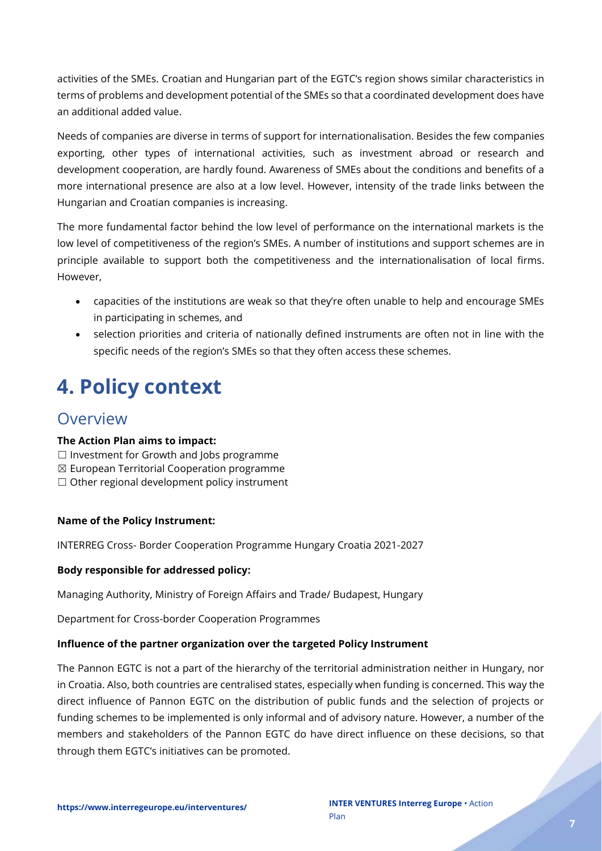activities of the SMEs. Croatian and Hungarian part of the EGTC's region shows similar characteristics in terms of problems and development potential of the SMEs so that a coordinated development does have an additional added value.

Needs of companies are diverse in terms of support for internationalisation. Besides the few companies exporting, other types of international activities, such as investment abroad or research and development cooperation, are hardly found. Awareness of SMEs about the conditions and benefits of a more international presence are also at a low level. However, intensity of the trade links between the Hungarian and Croatian companies is increasing.

The more fundamental factor behind the low level of performance on the international markets is the low level of competitiveness of the region's SMEs. A number of institutions and support schemes are in principle available to support both the competitiveness and the internationalisation of local firms. However,

- capacities of the institutions are weak so that they're often unable to help and encourage SMEs in participating in schemes, and
- selection priorities and criteria of nationally defined instruments are often not in line with the specific needs of the region's SMEs so that they often access these schemes.

## <span id="page-6-0"></span>**4. Policy context**

## <span id="page-6-1"></span>Overview

#### **The Action Plan aims to impact:**

- ☐ Investment for Growth and Jobs programme
- ☒ European Territorial Cooperation programme
- $\Box$  Other regional development policy instrument

#### **Name of the Policy Instrument:**

INTERREG Cross- Border Cooperation Programme Hungary Croatia 2021-2027

#### **Body responsible for addressed policy:**

Managing Authority, Ministry of Foreign Affairs and Trade/ Budapest, Hungary

Department for Cross-border Cooperation Programmes

#### **Influence of the partner organization over the targeted Policy Instrument**

The Pannon EGTC is not a part of the hierarchy of the territorial administration neither in Hungary, nor in Croatia. Also, both countries are centralised states, especially when funding is concerned. This way the direct influence of Pannon EGTC on the distribution of public funds and the selection of projects or funding schemes to be implemented is only informal and of advisory nature. However, a number of the members and stakeholders of the Pannon EGTC do have direct influence on these decisions, so that through them EGTC's initiatives can be promoted.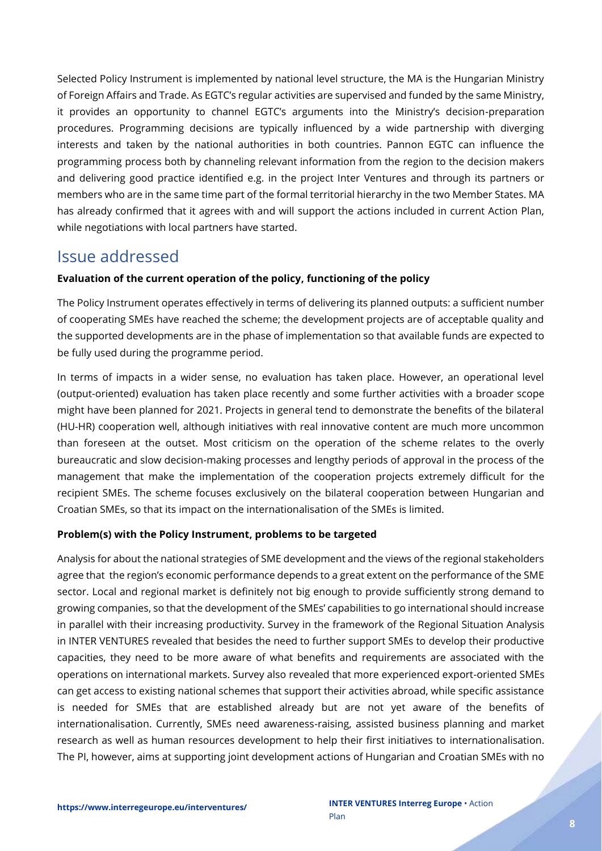Selected Policy Instrument is implemented by national level structure, the MA is the Hungarian Ministry of Foreign Affairs and Trade. As EGTC's regular activities are supervised and funded by the same Ministry, it provides an opportunity to channel EGTC's arguments into the Ministry's decision-preparation procedures. Programming decisions are typically influenced by a wide partnership with diverging interests and taken by the national authorities in both countries. Pannon EGTC can influence the programming process both by channeling relevant information from the region to the decision makers and delivering good practice identified e.g. in the project Inter Ventures and through its partners or members who are in the same time part of the formal territorial hierarchy in the two Member States. MA has already confirmed that it agrees with and will support the actions included in current Action Plan, while negotiations with local partners have started.

### <span id="page-7-0"></span>Issue addressed

#### **Evaluation of the current operation of the policy, functioning of the policy**

The Policy Instrument operates effectively in terms of delivering its planned outputs: a sufficient number of cooperating SMEs have reached the scheme; the development projects are of acceptable quality and the supported developments are in the phase of implementation so that available funds are expected to be fully used during the programme period.

In terms of impacts in a wider sense, no evaluation has taken place. However, an operational level (output-oriented) evaluation has taken place recently and some further activities with a broader scope might have been planned for 2021. Projects in general tend to demonstrate the benefits of the bilateral (HU-HR) cooperation well, although initiatives with real innovative content are much more uncommon than foreseen at the outset. Most criticism on the operation of the scheme relates to the overly bureaucratic and slow decision-making processes and lengthy periods of approval in the process of the management that make the implementation of the cooperation projects extremely difficult for the recipient SMEs. The scheme focuses exclusively on the bilateral cooperation between Hungarian and Croatian SMEs, so that its impact on the internationalisation of the SMEs is limited.

#### **Problem(s) with the Policy Instrument, problems to be targeted**

Analysis for about the national strategies of SME development and the views of the regional stakeholders agree that the region's economic performance depends to a great extent on the performance of the SME sector. Local and regional market is definitely not big enough to provide sufficiently strong demand to growing companies, so that the development of the SMEs' capabilities to go international should increase in parallel with their increasing productivity. Survey in the framework of the Regional Situation Analysis in INTER VENTURES revealed that besides the need to further support SMEs to develop their productive capacities, they need to be more aware of what benefits and requirements are associated with the operations on international markets. Survey also revealed that more experienced export-oriented SMEs can get access to existing national schemes that support their activities abroad, while specific assistance is needed for SMEs that are established already but are not yet aware of the benefits of internationalisation. Currently, SMEs need awareness-raising, assisted business planning and market research as well as human resources development to help their first initiatives to internationalisation. The PI, however, aims at supporting joint development actions of Hungarian and Croatian SMEs with no

e de de la partida de la partida de la partida de la partida de la partida de la partida de la partida de la p<br>La partida de la partida de la partida de la partida de la partida de la partida de la partida de la partida d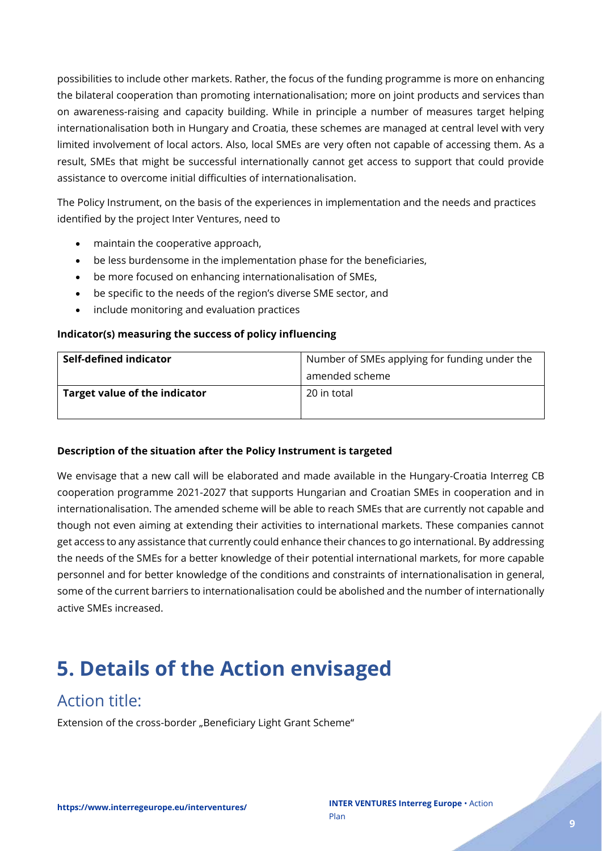possibilities to include other markets. Rather, the focus of the funding programme is more on enhancing the bilateral cooperation than promoting internationalisation; more on joint products and services than on awareness-raising and capacity building. While in principle a number of measures target helping internationalisation both in Hungary and Croatia, these schemes are managed at central level with very limited involvement of local actors. Also, local SMEs are very often not capable of accessing them. As a result, SMEs that might be successful internationally cannot get access to support that could provide assistance to overcome initial difficulties of internationalisation.

The Policy Instrument, on the basis of the experiences in implementation and the needs and practices identified by the project Inter Ventures, need to

- maintain the cooperative approach,
- be less burdensome in the implementation phase for the beneficiaries,
- be more focused on enhancing internationalisation of SMEs,
- be specific to the needs of the region's diverse SME sector, and
- include monitoring and evaluation practices

#### **Indicator(s) measuring the success of policy influencing**

| Self-defined indicator        | Number of SMEs applying for funding under the |  |  |  |  |
|-------------------------------|-----------------------------------------------|--|--|--|--|
|                               | amended scheme                                |  |  |  |  |
| Target value of the indicator | 20 in total                                   |  |  |  |  |
|                               |                                               |  |  |  |  |

#### **Description of the situation after the Policy Instrument is targeted**

We envisage that a new call will be elaborated and made available in the Hungary-Croatia Interreg CB cooperation programme 2021-2027 that supports Hungarian and Croatian SMEs in cooperation and in internationalisation. The amended scheme will be able to reach SMEs that are currently not capable and though not even aiming at extending their activities to international markets. These companies cannot get access to any assistance that currently could enhance their chances to go international. By addressing the needs of the SMEs for a better knowledge of their potential international markets, for more capable personnel and for better knowledge of the conditions and constraints of internationalisation in general, some of the current barriers to internationalisation could be abolished and the number of internationally active SMEs increased.

## <span id="page-8-0"></span>**5. Details of the Action envisaged**

## <span id="page-8-1"></span>Action title:

Extension of the cross-border "Beneficiary Light Grant Scheme"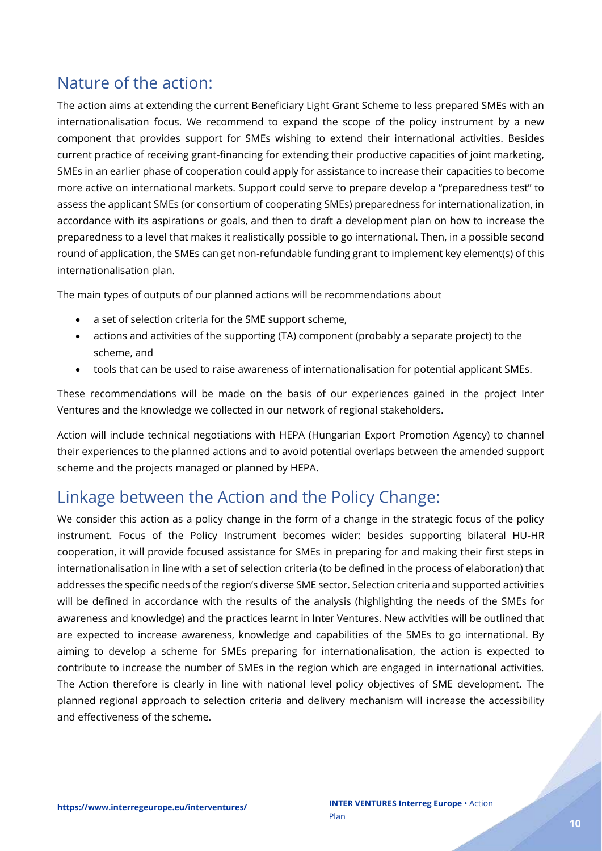## <span id="page-9-0"></span>Nature of the action:

The action aims at extending the current Beneficiary Light Grant Scheme to less prepared SMEs with an internationalisation focus. We recommend to expand the scope of the policy instrument by a new component that provides support for SMEs wishing to extend their international activities. Besides current practice of receiving grant-financing for extending their productive capacities of joint marketing, SMEs in an earlier phase of cooperation could apply for assistance to increase their capacities to become more active on international markets. Support could serve to prepare develop a "preparedness test" to assess the applicant SMEs (or consortium of cooperating SMEs) preparedness for internationalization, in accordance with its aspirations or goals, and then to draft a development plan on how to increase the preparedness to a level that makes it realistically possible to go international. Then, in a possible second round of application, the SMEs can get non-refundable funding grant to implement key element(s) of this internationalisation plan.

The main types of outputs of our planned actions will be recommendations about

- a set of selection criteria for the SME support scheme,
- actions and activities of the supporting (TA) component (probably a separate project) to the scheme, and
- tools that can be used to raise awareness of internationalisation for potential applicant SMEs.

These recommendations will be made on the basis of our experiences gained in the project Inter Ventures and the knowledge we collected in our network of regional stakeholders.

Action will include technical negotiations with HEPA (Hungarian Export Promotion Agency) to channel their experiences to the planned actions and to avoid potential overlaps between the amended support scheme and the projects managed or planned by HEPA.

## <span id="page-9-1"></span>Linkage between the Action and the Policy Change:

We consider this action as a policy change in the form of a change in the strategic focus of the policy instrument. Focus of the Policy Instrument becomes wider: besides supporting bilateral HU-HR cooperation, it will provide focused assistance for SMEs in preparing for and making their first steps in internationalisation in line with a set of selection criteria (to be defined in the process of elaboration) that addresses the specific needs of the region's diverse SME sector. Selection criteria and supported activities will be defined in accordance with the results of the analysis (highlighting the needs of the SMEs for awareness and knowledge) and the practices learnt in Inter Ventures. New activities will be outlined that are expected to increase awareness, knowledge and capabilities of the SMEs to go international. By aiming to develop a scheme for SMEs preparing for internationalisation, the action is expected to contribute to increase the number of SMEs in the region which are engaged in international activities. The Action therefore is clearly in line with national level policy objectives of SME development. The planned regional approach to selection criteria and delivery mechanism will increase the accessibility and effectiveness of the scheme.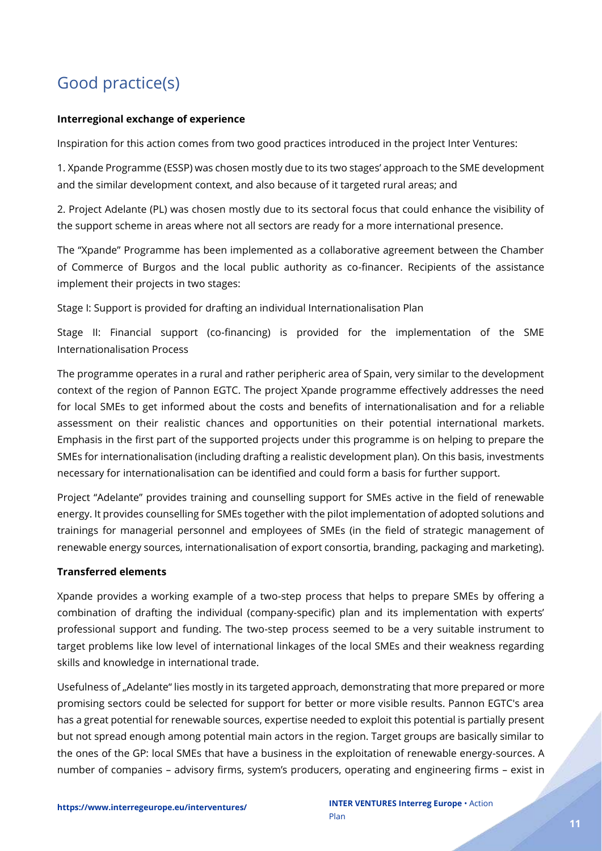## <span id="page-10-0"></span>Good practice(s)

#### **Interregional exchange of experience**

Inspiration for this action comes from two good practices introduced in the project Inter Ventures:

1. Xpande Programme (ESSP) was chosen mostly due to its two stages' approach to the SME development and the similar development context, and also because of it targeted rural areas; and

2. Project Adelante (PL) was chosen mostly due to its sectoral focus that could enhance the visibility of the support scheme in areas where not all sectors are ready for a more international presence.

The "Xpande" Programme has been implemented as a collaborative agreement between the Chamber of Commerce of Burgos and the local public authority as co-financer. Recipients of the assistance implement their projects in two stages:

Stage I: Support is provided for drafting an individual Internationalisation Plan

Stage II: Financial support (co-financing) is provided for the implementation of the SME Internationalisation Process

The programme operates in a rural and rather peripheric area of Spain, very similar to the development context of the region of Pannon EGTC. The project Xpande programme effectively addresses the need for local SMEs to get informed about the costs and benefits of internationalisation and for a reliable assessment on their realistic chances and opportunities on their potential international markets. Emphasis in the first part of the supported projects under this programme is on helping to prepare the SMEs for internationalisation (including drafting a realistic development plan). On this basis, investments necessary for internationalisation can be identified and could form a basis for further support.

Project "Adelante" provides training and counselling support for SMEs active in the field of renewable energy. It provides counselling for SMEs together with the pilot implementation of adopted solutions and trainings for managerial personnel and employees of SMEs (in the field of strategic management of renewable energy sources, internationalisation of export consortia, branding, packaging and marketing).

#### **Transferred elements**

Xpande provides a working example of a two-step process that helps to prepare SMEs by offering a combination of drafting the individual (company-specific) plan and its implementation with experts' professional support and funding. The two-step process seemed to be a very suitable instrument to target problems like low level of international linkages of the local SMEs and their weakness regarding skills and knowledge in international trade.

Usefulness of "Adelante" lies mostly in its targeted approach, demonstrating that more prepared or more promising sectors could be selected for support for better or more visible results. Pannon EGTC's area has a great potential for renewable sources, expertise needed to exploit this potential is partially present but not spread enough among potential main actors in the region. Target groups are basically similar to the ones of the GP: local SMEs that have a business in the exploitation of renewable energy-sources. A number of companies – advisory firms, system's producers, operating and engineering firms – exist in

Z L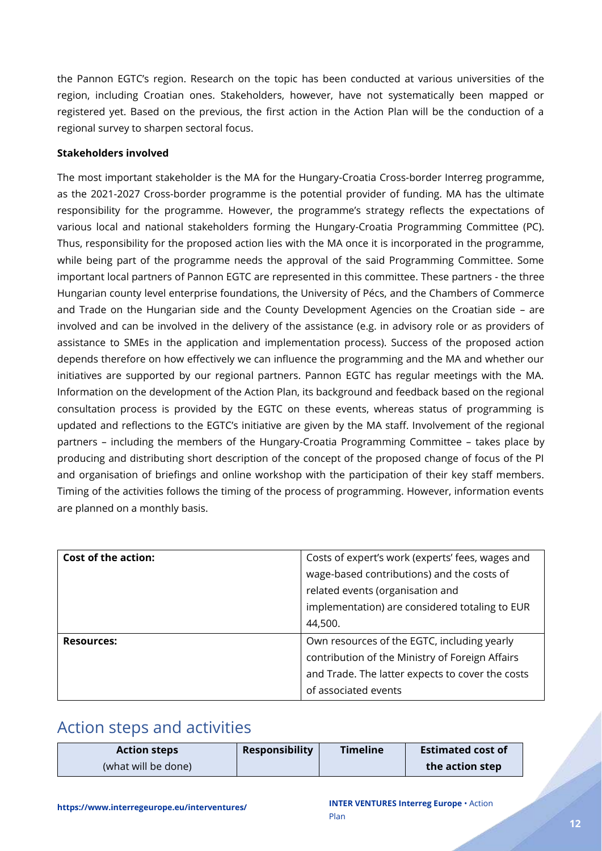the Pannon EGTC's region. Research on the topic has been conducted at various universities of the region, including Croatian ones. Stakeholders, however, have not systematically been mapped or registered yet. Based on the previous, the first action in the Action Plan will be the conduction of a regional survey to sharpen sectoral focus.

#### **Stakeholders involved**

The most important stakeholder is the MA for the Hungary-Croatia Cross-border Interreg programme, as the 2021-2027 Cross-border programme is the potential provider of funding. MA has the ultimate responsibility for the programme. However, the programme's strategy reflects the expectations of various local and national stakeholders forming the Hungary-Croatia Programming Committee (PC). Thus, responsibility for the proposed action lies with the MA once it is incorporated in the programme, while being part of the programme needs the approval of the said Programming Committee. Some important local partners of Pannon EGTC are represented in this committee. These partners - the three Hungarian county level enterprise foundations, the University of Pécs, and the Chambers of Commerce and Trade on the Hungarian side and the County Development Agencies on the Croatian side – are involved and can be involved in the delivery of the assistance (e.g. in advisory role or as providers of assistance to SMEs in the application and implementation process). Success of the proposed action depends therefore on how effectively we can influence the programming and the MA and whether our initiatives are supported by our regional partners. Pannon EGTC has regular meetings with the MA. Information on the development of the Action Plan, its background and feedback based on the regional consultation process is provided by the EGTC on these events, whereas status of programming is updated and reflections to the EGTC's initiative are given by the MA staff. Involvement of the regional partners – including the members of the Hungary-Croatia Programming Committee – takes place by producing and distributing short description of the concept of the proposed change of focus of the PI and organisation of briefings and online workshop with the participation of their key staff members. Timing of the activities follows the timing of the process of programming. However, information events are planned on a monthly basis.

| <b>Cost of the action:</b> | Costs of expert's work (experts' fees, wages and |  |  |  |
|----------------------------|--------------------------------------------------|--|--|--|
|                            | wage-based contributions) and the costs of       |  |  |  |
|                            | related events (organisation and                 |  |  |  |
|                            | implementation) are considered totaling to EUR   |  |  |  |
|                            | 44,500.                                          |  |  |  |
| <b>Resources:</b>          | Own resources of the EGTC, including yearly      |  |  |  |
|                            | contribution of the Ministry of Foreign Affairs  |  |  |  |
|                            | and Trade. The latter expects to cover the costs |  |  |  |
|                            | of associated events                             |  |  |  |

### <span id="page-11-0"></span>Action steps and activities

| <b>Action steps</b> | <b>Responsibility</b> | <b>Timeline</b> | <b>Estimated cost of</b> |
|---------------------|-----------------------|-----------------|--------------------------|
| (what will be done) |                       |                 | the action step          |